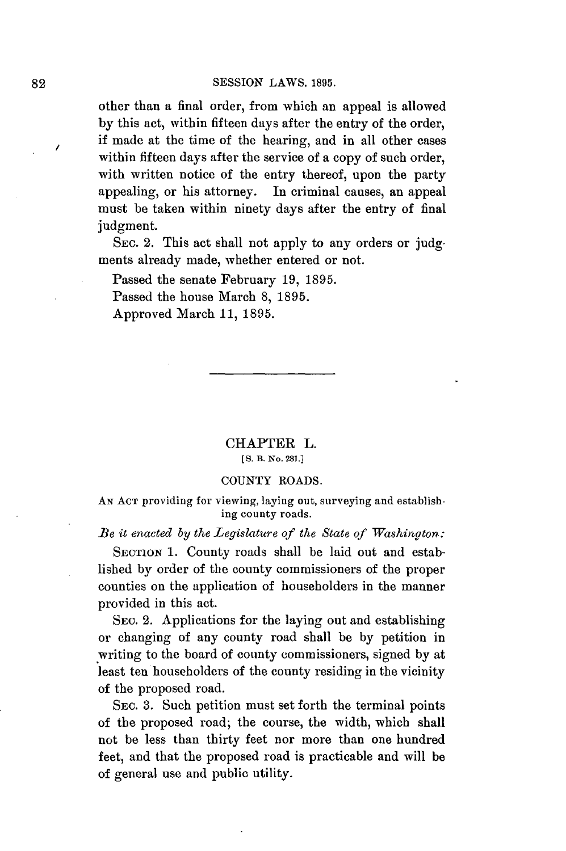other than a final order, from which an appeal is allowed **by** this act, within fifteen days after the entry of the order, if made at the time of the hearing, and in all other cases within fifteen days after the service of a copy of such order, with written notice of the entry thereof, upon the party appealing, or his attorney. In criminal causes, an appeal must be taken within ninety days after the entry of final judgment.

SEC. 2. This act shall not apply to any orders or judgments already made, whether entered or not.

Passed the senate February **19, 1895.**

Passed the house March **8, 1895.**

Approved March **11, 1895.**

CHAPTER L. **[ S.** B. No. **281.]**

## **COUNTY** ROADS.

**AN ACT** providing for viewing, laying out, surveying and establishing county roads.

*Be it enacted by the Legislature of the State of Washington:*

SECTION 1. County roads shall be laid out and established **by** order of the county commissioners of the proper counties on the application of householders in the manner provided in this act.

SEC. 2. Applications for the laying out and establishing or changing of any county road shall be **by** petition in :writing to the board of county commissioners, signed **by** at least ten householders of the county residing in the vicinity of the proposed road.

SEC. **3.** Such petition must set forth the terminal points of the proposed road; the course, the width, which shall not be less than thirty feet nor more than one hundred feet, and that the proposed road is practicable and will be of general use and public utility.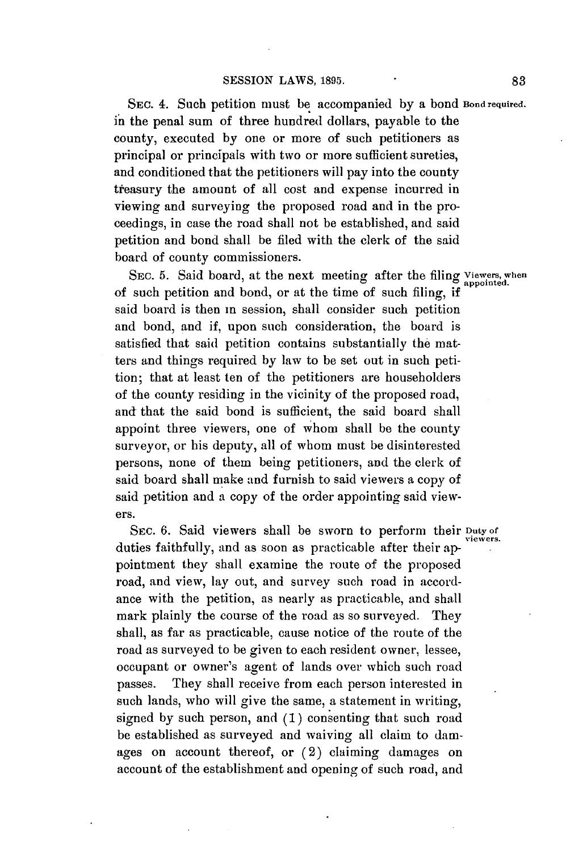SEC. 4. Such petition must **be** accompanied **by** a bond **Bond required.** in the penal sum of three hundred dollars, payable to the county, executed **by** one or more of such petitioners as principal or principals with two or more sufficient sureties, and conditioned that the petitioners will pay into the county tieasury the amount of all cost and expense incurred in viewing and surveying the proposed road and in the proceedings, in case the road shall not be established, and said petition and bond shall be filed with the clerk of the said board of county commissioners.

SEC. 5. Said board, at the next meeting after the filing Viewers, when of such petition and bond, or at the time of such filing, if said board is then in session, shall consider such petition and bond, and if, upon such consideration, the board is satisfied that said petition contains substantially the matters and things required **by** law to be set out in such petition; that at least ten of the petitioners are householders of the county residing in the vicinity of the proposed road, and that the said bond is sufficient, the said board shall appoint three viewers, one of whom shall be the county surveyor, or his deputy, all of whom must be disinterested persons, none of them being petitioners, and the clerk of said board shall make and furnish to said viewers a copy of said petition and a copy of the order appointing said viewers.

SEC. 6. Said viewers shall be sworn to perform their Duty of duties faithfully, and as soon as practicable after their **ap**pointment they shall examine the route of the proposed road, and view, lay out, and survey such road in accordance with the petition, as nearly as practicable, and shall mark plainly the course of the road as so surveyed. They shall, as far as practicable, cause notice of the route of the road as surveyed to be given to each resident owner, lessee, occupant or owner's agent of lands over which such road passes. They shall receive from each person interested in such lands, who will give the same, a statement in writing, signed **by** such person, and **(1)** consenting that such road be established as surveyed and waiving all claim to damages on account thereof, or **(2)** claiming damages on account of the establishment and opening of such road, and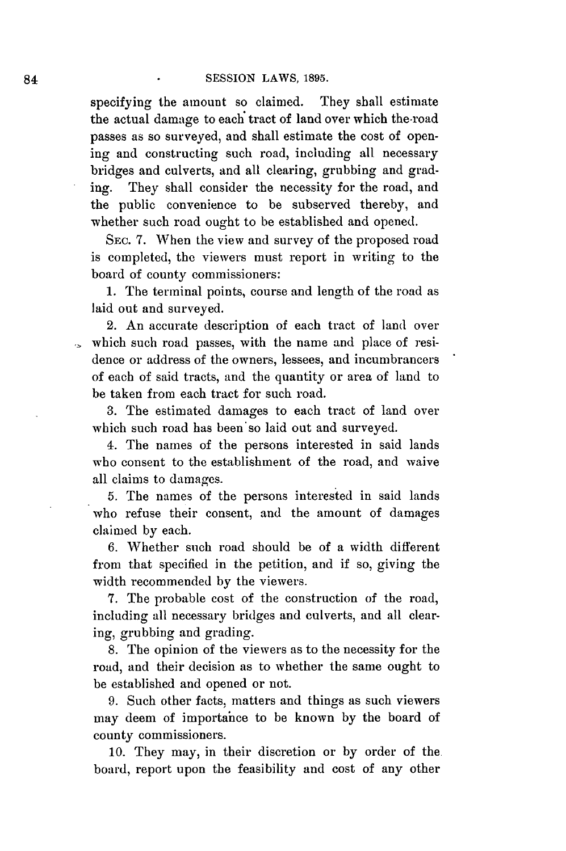specifying the amount so claimed. They shall estimate the actual damage to each tract of land over which the-road passes as so surveyed, and shall estimate the cost of opening and constructing such road, including all necessary bridges and culverts, and all clearing, grubbing and grading. They shall consider the necessity for the road, and the public convenience to be subserved thereby, and whether such road ought to **be** established and opened.

**SEC. 7.** When the view and survey of the proposed road is completed, the viewers must report in writing to the board of county commissioners:

**1.** The terminal points, course and length of the road as laid out and surveyed.

2. An accurate description of each tract of land over which such road passes, with the name and place of residence or address of the owners, lessees, and incumbrancers of each of said tracts, and the quantity or area of land to be taken from each tract for such road.

**3.** The estimated damages to each tract of land over which such road has been'so laid out and surveyed.

4. The names of the persons interested in said lands who consent to the establishment of the road, and waive all claims to damages.

**5.** The names of the persons interested in said lands who refuse their consent, and the amount of damages claimed **by** each.

**6.** Whether such road should be of a width different from that specified in the petition, and if so, giving the width recommended **by** the viewers.

**7.** The probable cost of the construction of the road, including all necessary bridges and culverts, and all clearing, grubbing and grading.

**8.** The opinion of the viewers as to the necessity for the road, and their decision as to whether the same ought to be established and opened or not.

**9.** Such other facts, matters and things as such viewers may deem of importance to be known **by** the board of county commissioners.

**10.** They may, in their discretion or **by** order of the board, report upon the feasibility and cost of any other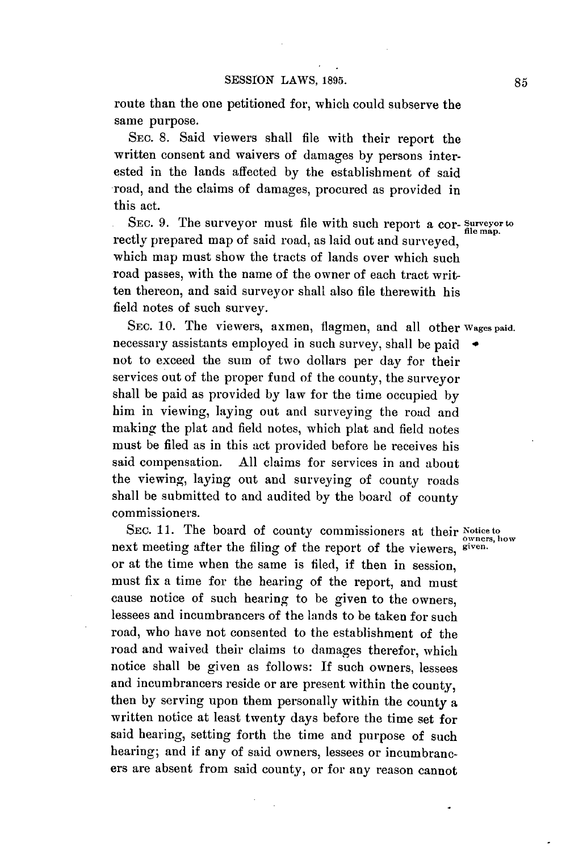route than the one petitioned for, which could subserve the same purpose.

**SEC. 8.** Said viewers shall file with their report the written consent and waivers of damages **by** persons interested in the lands affected **by** the establishment of said road, and the claims of damages, procured as provided in this act.

**SEC. 9.** The surveyor must file with such report a cor- **Surveyor to file map.** rectly prepared map of said road, as laid out and surveyed, which map must show the tracts of lands over which such road passes, with the name of the owner of each tract written thereon, and said surveyor shall also file therewith his field notes of such survey.

**SEC. 10.** The viewers, axmen, flagmen, and all other **Wages paid.** necessary assistants employed in such survey, shall be paid **\*** not to exceed the sum of two dollars per day for their services out of the proper fund of the county, the surveyor shall be paid as provided **by** law for the time occupied **by** him in viewing, laying out and surveying the road and making the plat and field notes, which plat and field notes must be filed as in this act provided before he receives his said compensation. **All** claims for services in and about the viewing, laying out and surveying of county roads shall be submitted to and audited **by** the board of county commissioners.

SEC. 11. The board of county commissioners at their Notice to next meeting after the filing of the report of the viewers, **given.** or at the time when the same is filed, if then in session, must fix a time for the hearing of the report, and must cause notice of such hearing to be given to the owners, lessees and incumbrancers of the lands to be taken for such road, who have not consented to the establishment of the road and waived their claims to damages therefor, which notice shall be given as follows: If such owners, lessees and incumbrancers reside or are present within the county, then **by** serving upon them personally within the county a written notice at least twenty days before the time set for said hearing, setting forth the time and purpose of such hearing; and if any of said owners, lessees or incumbrancers are absent from said county, or for any reason cannot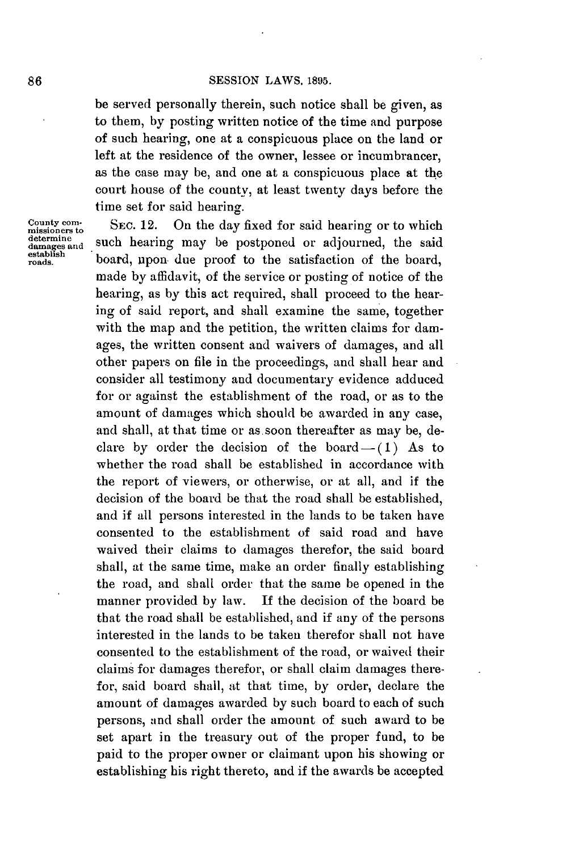be served personally therein, such notice shall be given, as to them, **by** posting written notice of the time and purpose of such hearing, one at a conspicuous place on the land or left at the residence of the owner, lessee or incumbrancer, as the case may be, and one at a conspicuous place at the court house of the county, at least twenty days before the time set for said hearing.

**County com-**<br> **SEC. 12.** On the day fixed for said hearing or to which<br>
determine<br> **example** and **hearing** may be postponed on edianwed, the said determine such hearing may be postponed or adjourned, the said damages and **hearing** may be postponed or adjourned, the said **doish** board, upon. due proof to the satisfaction of the board, made **by** affidavit, of the service or posting of notice of the hearing, as **by** this act required, shall proceed to the hearing of said report, and shall examine the **same,** together with the map and the petition, the written claims for damages, the written consent and waivers of damages, and all other papers on file in the proceedings, and shall hear and consider all testimony and documentary evidence adduced for or against the establishment of the road, or as to the amount of damages which should be awarded in any case, and shall, at that time or as. soon thereafter as may be, declare by order the decision of the board $-$ (1) As to whether the road shall be established in accordance with the report of viewers, or otherwise, or at all, and if the decision of the board be that the road shall be established, and if all persons interested in the lands to be taken have consented to the establishment of said road and have waived their claims to damages therefor, the said board shall, at the same time, make an order finally establishing the road, and shall order that the same be opened in the manner provided **by** law. If the decision of the board be that the road shall be established, and if any of the persons interested in the lands to be taken therefor shall not have consented to the establishment of the road, or waived their claims for damages therefor, or shall claim damages therefor, said board shall, at that time, **by** order, declare the amount of damages awarded **by** such board to each of such persons, and shall order the amount of such award to be set apart in the treasury out of the proper fund, to be paid to the proper owner or claimant upon his showing or establishing his right thereto, and if the awards be accepted

**County**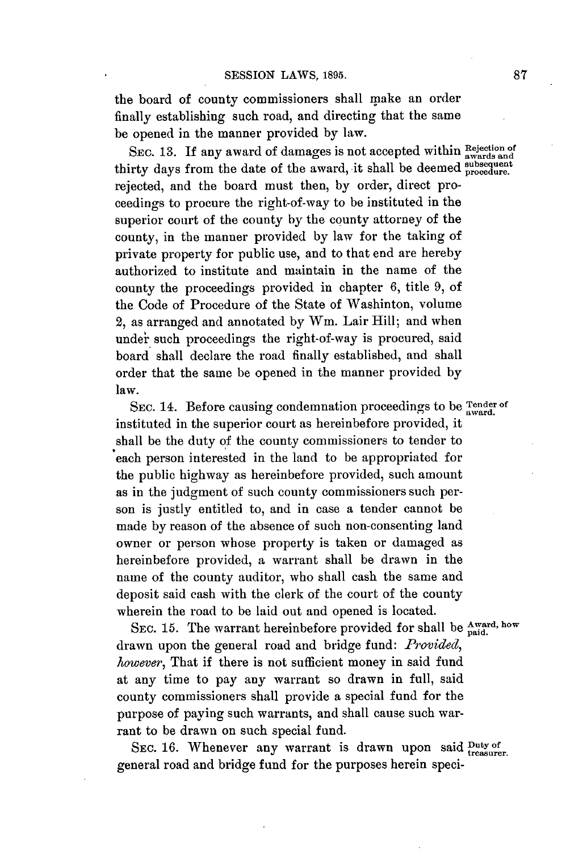the board of county commissioners shall make an order finally establishing such road, and directing that the same be opened in the manner provided **by** law.

SEC. 13. If any award of damages is not accepted within **Rejection** of thirty days from the date of the award, it shall be deemed subsequent rejected, and the board must then, **by** order, direct proceedings to procure the right-of-way to be instituted in the superior court of the county **by** the county attorney of the county, in the manner provided **by** law for the taking of private property for public use, and to that end are hereby authorized to institute and maintain in the name of the county the proceedings provided in chapter **6,** title **9,** of the Code of Procedure of the State of Washinton, volume 2, as arranged and annotated **by** Wm. Lair Hill; and when under such proceedings the right-of-way is procured, said board shall declare the road finally established, and shall order that the same be opened in the manner provided **by** law.

SEC. 14. Before causing condemnation proceedings to be  $\frac{T_{\text{ender of}}}{\text{award.}}}$ instituted in the superior court as hereinbefore provided, it shall be the duty **of** the county commissioners to tender to each person interested in the land to be appropriated for the public highway as hereinbefore provided, such amount as in the judgment of such county commissioners such person is justly entitled to, and in case a tender cannot be made **by** reason of the absence of such non-consenting land owner or person whose property is taken or damaged as hereinbefore provided, a warrant shall be drawn in the name of the county auditor, who shall cash the same and deposit said cash with the clerk of the court of the county wherein the road to be laid out and opened is located.

SEC. 15. The warrant hereinbefore provided for shall be  $_{\text{mid}}^{\text{Award, how}}$ drawn upon the general road and bridge fund: *Provided, however,* That if there is not sufficient money in said fund at any time to pay any warrant so drawn in full, said county commissioners shall provide a special fund for the purpose of paying such warrants, and shall cause such warrant to be drawn on such special fund.

SEC. 16. Whenever any warrant is drawn upon said **Duty of** treasurer. general road and bridge fund for the purposes herein speci-